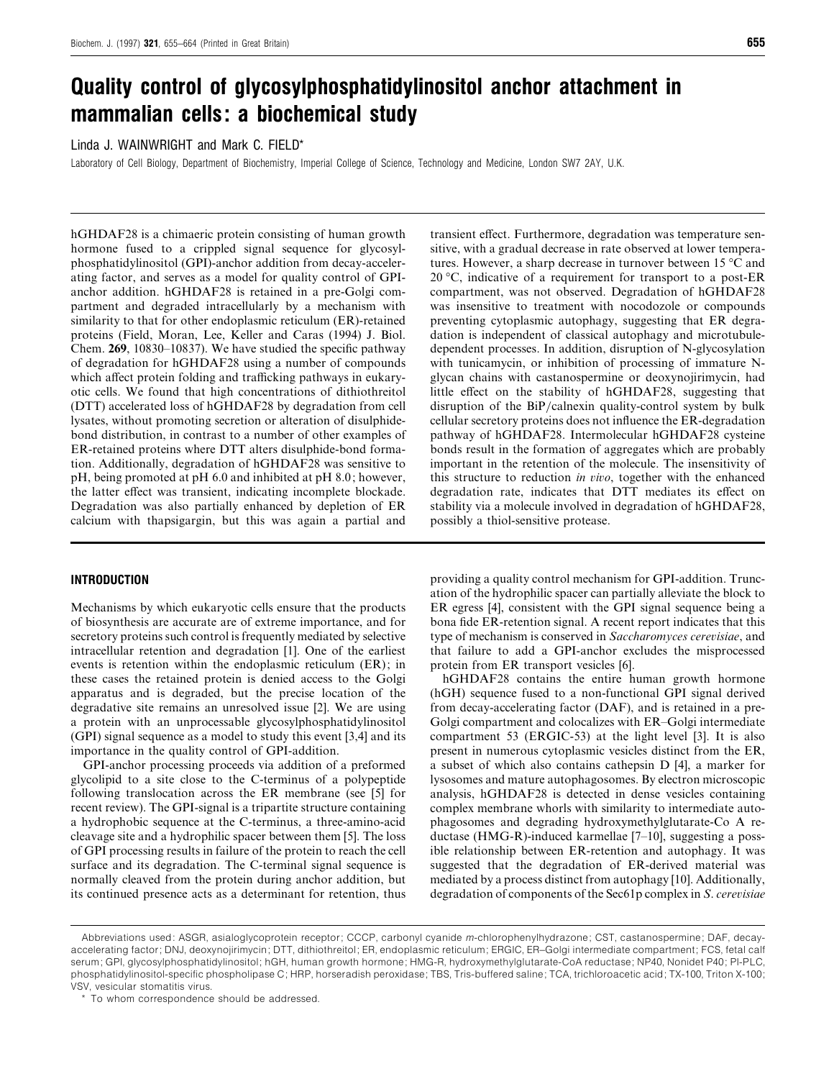# *Quality control of glycosylphosphatidylinositol anchor attachment in mammalian cells: a biochemical study*

Linda J. WAINWRIGHT and Mark C. FIELD\*

Laboratory of Cell Biology, Department of Biochemistry, Imperial College of Science, Technology and Medicine, London SW7 2AY, U.K.

hGHDAF28 is a chimaeric protein consisting of human growth hormone fused to a crippled signal sequence for glycosylphosphatidylinositol (GPI)-anchor addition from decay-accelerating factor, and serves as a model for quality control of GPIanchor addition. hGHDAF28 is retained in a pre-Golgi compartment and degraded intracellularly by a mechanism with similarity to that for other endoplasmic reticulum (ER)-retained proteins (Field, Moran, Lee, Keller and Caras (1994) J. Biol. Chem. **269**, 10830–10837). We have studied the specific pathway of degradation for hGHDAF28 using a number of compounds which affect protein folding and trafficking pathways in eukaryotic cells. We found that high concentrations of dithiothreitol (DTT) accelerated loss of hGHDAF28 by degradation from cell lysates, without promoting secretion or alteration of disulphidebond distribution, in contrast to a number of other examples of ER-retained proteins where DTT alters disulphide-bond formation. Additionally, degradation of hGHDAF28 was sensitive to pH, being promoted at pH 6.0 and inhibited at pH 8.0; however, the latter effect was transient, indicating incomplete blockade. Degradation was also partially enhanced by depletion of ER calcium with thapsigargin, but this was again a partial and

# *INTRODUCTION*

Mechanisms by which eukaryotic cells ensure that the products of biosynthesis are accurate are of extreme importance, and for secretory proteins such control is frequently mediated by selective intracellular retention and degradation [1]. One of the earliest events is retention within the endoplasmic reticulum (ER); in these cases the retained protein is denied access to the Golgi apparatus and is degraded, but the precise location of the degradative site remains an unresolved issue [2]. We are using a protein with an unprocessable glycosylphosphatidylinositol (GPI) signal sequence as a model to study this event [3,4] and its importance in the quality control of GPI-addition.

GPI-anchor processing proceeds via addition of a preformed glycolipid to a site close to the C-terminus of a polypeptide following translocation across the ER membrane (see [5] for recent review). The GPI-signal is a tripartite structure containing a hydrophobic sequence at the C-terminus, a three-amino-acid cleavage site and a hydrophilic spacer between them [5]. The loss of GPI processing results in failure of the protein to reach the cell surface and its degradation. The C-terminal signal sequence is normally cleaved from the protein during anchor addition, but its continued presence acts as a determinant for retention, thus transient effect. Furthermore, degradation was temperature sensitive, with a gradual decrease in rate observed at lower temperatures. However, a sharp decrease in turnover between 15 °C and 20 °C, indicative of a requirement for transport to a post-ER compartment, was not observed. Degradation of hGHDAF28 was insensitive to treatment with nocodozole or compounds preventing cytoplasmic autophagy, suggesting that ER degradation is independent of classical autophagy and microtubuledependent processes. In addition, disruption of N-glycosylation with tunicamycin, or inhibition of processing of immature Nglycan chains with castanospermine or deoxynojirimycin, had little effect on the stability of hGHDAF28, suggesting that disruption of the BiP/calnexin quality-control system by bulk cellular secretory proteins does not influence the ER-degradation pathway of hGHDAF28. Intermolecular hGHDAF28 cysteine bonds result in the formation of aggregates which are probably important in the retention of the molecule. The insensitivity of this structure to reduction *in io*, together with the enhanced degradation rate, indicates that DTT mediates its effect on stability via a molecule involved in degradation of hGHDAF28, possibly a thiol-sensitive protease.

providing a quality control mechanism for GPI-addition. Truncation of the hydrophilic spacer can partially alleviate the block to ER egress [4], consistent with the GPI signal sequence being a bona fide ER-retention signal. A recent report indicates that this type of mechanism is conserved in *Saccharomyces cereisiae*, and that failure to add a GPI-anchor excludes the misprocessed protein from ER transport vesicles [6].

hGHDAF28 contains the entire human growth hormone (hGH) sequence fused to a non-functional GPI signal derived from decay-accelerating factor (DAF), and is retained in a pre-Golgi compartment and colocalizes with ER–Golgi intermediate compartment 53 (ERGIC-53) at the light level [3]. It is also present in numerous cytoplasmic vesicles distinct from the ER, a subset of which also contains cathepsin D [4], a marker for lysosomes and mature autophagosomes. By electron microscopic analysis, hGHDAF28 is detected in dense vesicles containing complex membrane whorls with similarity to intermediate autophagosomes and degrading hydroxymethylglutarate-Co A reductase (HMG-R)-induced karmellae [7–10], suggesting a possible relationship between ER-retention and autophagy. It was suggested that the degradation of ER-derived material was mediated by a process distinct from autophagy [10]. Additionally, degradation of components of the Sec61p complex in *S*. *cereisiae*

Abbreviations used: ASGR, asialoglycoprotein receptor; CCCP, carbonyl cyanide *m*-chlorophenylhydrazone; CST, castanospermine; DAF, decayaccelerating factor; DNJ, deoxynojirimycin; DTT, dithiothreitol; ER, endoplasmic reticulum; ERGIC, ER–Golgi intermediate compartment; FCS, fetal calf serum; GPI, glycosylphosphatidylinositol; hGH, human growth hormone; HMG-R, hydroxymethylglutarate-CoA reductase; NP40, Nonidet P40; PI-PLC, phosphatidylinositol-specific phospholipase C; HRP, horseradish peroxidase; TBS, Tris-buffered saline; TCA, trichloroacetic acid; TX-100, Triton X-100; VSV, vesicular stomatitis virus.

<sup>\*</sup> To whom correspondence should be addressed.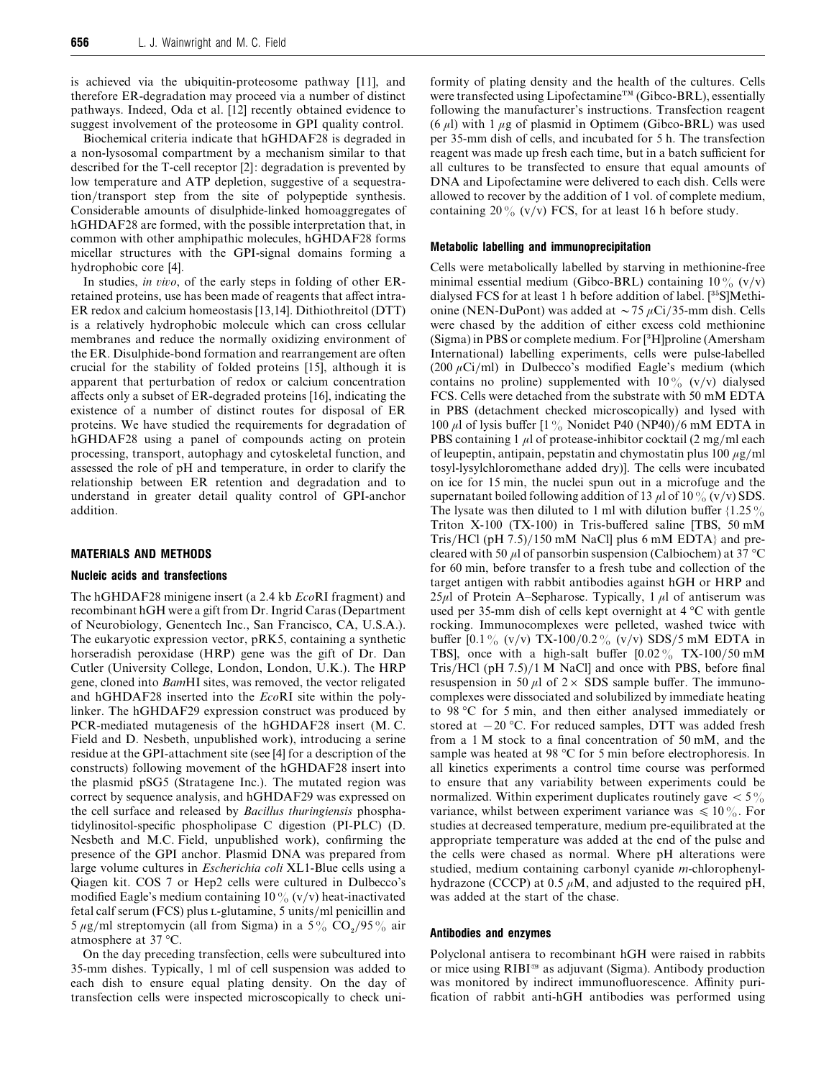is achieved via the ubiquitin-proteosome pathway [11], and therefore ER-degradation may proceed via a number of distinct pathways. Indeed, Oda et al. [12] recently obtained evidence to suggest involvement of the proteosome in GPI quality control.

Biochemical criteria indicate that hGHDAF28 is degraded in a non-lysosomal compartment by a mechanism similar to that described for the T-cell receptor [2]: degradation is prevented by low temperature and ATP depletion, suggestive of a sequestration/transport step from the site of polypeptide synthesis. Considerable amounts of disulphide-linked homoaggregates of hGHDAF28 are formed, with the possible interpretation that, in common with other amphipathic molecules, hGHDAF28 forms micellar structures with the GPI-signal domains forming a hydrophobic core [4].

In studies, *in io*, of the early steps in folding of other ERretained proteins, use has been made of reagents that affect intra-ER redox and calcium homeostasis [13,14]. Dithiothreitol (DTT) is a relatively hydrophobic molecule which can cross cellular membranes and reduce the normally oxidizing environment of the ER. Disulphide-bond formation and rearrangement are often crucial for the stability of folded proteins [15], although it is apparent that perturbation of redox or calcium concentration affects only a subset of ER-degraded proteins [16], indicating the existence of a number of distinct routes for disposal of ER proteins. We have studied the requirements for degradation of hGHDAF28 using a panel of compounds acting on protein processing, transport, autophagy and cytoskeletal function, and assessed the role of pH and temperature, in order to clarify the relationship between ER retention and degradation and to understand in greater detail quality control of GPI-anchor addition.

## *MATERIALS AND METHODS*

# *Nucleic acids and transfections*

The hGHDAF28 minigene insert (a 2.4 kb *Eco*RI fragment) and recombinant hGH were a gift from Dr. Ingrid Caras (Department of Neurobiology, Genentech Inc., San Francisco, CA, U.S.A.). The eukaryotic expression vector, pRK5, containing a synthetic horseradish peroxidase (HRP) gene was the gift of Dr. Dan Cutler (University College, London, London, U.K.). The HRP gene, cloned into *Bam*HI sites, was removed, the vector religated and hGHDAF28 inserted into the *Eco*RI site within the polylinker. The hGHDAF29 expression construct was produced by PCR-mediated mutagenesis of the hGHDAF28 insert (M. C. Field and D. Nesbeth, unpublished work), introducing a serine residue at the GPI-attachment site (see [4] for a description of the constructs) following movement of the hGHDAF28 insert into the plasmid pSG5 (Stratagene Inc.). The mutated region was correct by sequence analysis, and hGHDAF29 was expressed on the cell surface and released by *Bacillus thuringiensis* phosphatidylinositol-specific phospholipase C digestion (PI-PLC) (D. Nesbeth and M.C. Field, unpublished work), confirming the presence of the GPI anchor. Plasmid DNA was prepared from large volume cultures in *Escherichia coli* XL1-Blue cells using a Qiagen kit. COS 7 or Hep2 cells were cultured in Dulbecco's modified Eagle's medium containing 10% (v/v) heat-inactivated fetal calf serum (FCS) plus L-glutamine, 5 units/ml penicillin and 5  $\mu$ g/ml streptomycin (all from Sigma) in a 5% CO<sub>2</sub>/95% air atmosphere at 37 °C.

On the day preceding transfection, cells were subcultured into 35-mm dishes. Typically, 1 ml of cell suspension was added to each dish to ensure equal plating density. On the day of transfection cells were inspected microscopically to check uniformity of plating density and the health of the cultures. Cells were transfected using Lipofectamine™ (Gibco-BRL), essentially following the manufacturer's instructions. Transfection reagent  $(6 \mu l)$  with 1  $\mu$ g of plasmid in Optimem (Gibco-BRL) was used per 35-mm dish of cells, and incubated for 5 h. The transfection reagent was made up fresh each time, but in a batch sufficient for all cultures to be transfected to ensure that equal amounts of DNA and Lipofectamine were delivered to each dish. Cells were allowed to recover by the addition of 1 vol. of complete medium, containing 20% (v/v) FCS, for at least 16 h before study.

#### *Metabolic labelling and immunoprecipitation*

Cells were metabolically labelled by starving in methionine-free minimal essential medium (Gibco-BRL) containing  $10\%$  (v/v) dialysed FCS for at least 1 h before addition of label.  $[^{35}S]$ Methionine (NEN-DuPont) was added at  $\sim$  75  $\mu$ Ci/35-mm dish. Cells were chased by the addition of either excess cold methionine (Sigma) in PBS or complete medium. For [\$H]proline (Amersham International) labelling experiments, cells were pulse-labelled (200  $\mu$ Ci/ml) in Dulbecco's modified Eagle's medium (which contains no proline) supplemented with  $10\%$  (v/v) dialysed FCS. Cells were detached from the substrate with 50 mM EDTA in PBS (detachment checked microscopically) and lysed with 100  $\mu$ l of lysis buffer [1%] Nonidet P40 (NP40)/6 mM EDTA in PBS containing 1  $\mu$ l of protease-inhibitor cocktail (2 mg/ml each of leupeptin, antipain, pepstatin and chymostatin plus  $100 \mu g/ml$ tosyl-lysylchloromethane added dry)]. The cells were incubated on ice for 15 min, the nuclei spun out in a microfuge and the supernatant boiled following addition of 13  $\mu$ l of 10 % (v/v) SDS. The lysate was then diluted to 1 ml with dilution buffer  $\{1.25\%$ Triton X-100 (TX-100) in Tris-buffered saline [TBS, 50 mM Tris/HCl (pH  $7.5$ )/150 mM NaCl] plus 6 mM EDTA $\}$  and precleared with 50  $\mu$ l of pansorbin suspension (Calbiochem) at 37 °C for 60 min, before transfer to a fresh tube and collection of the target antigen with rabbit antibodies against hGH or HRP and  $25\mu$ l of Protein A–Sepharose. Typically, 1  $\mu$ l of antiserum was used per 35-mm dish of cells kept overnight at 4 °C with gentle rocking. Immunocomplexes were pelleted, washed twice with buffer  $[0.1\%$  (v/v) TX-100/0.2% (v/v) SDS/5 mM EDTA in TBS], once with a high-salt buffer  $[0.02\% \text{ TX-100/50 }\text{mM}$ Tris/HCl (pH 7.5)/1 M NaCl] and once with PBS, before final resuspension in 50  $\mu$ l of 2  $\times$  SDS sample buffer. The immunocomplexes were dissociated and solubilized by immediate heating to 98 °C for 5 min, and then either analysed immediately or stored at  $-20$  °C. For reduced samples, DTT was added fresh from a 1 M stock to a final concentration of 50 mM, and the sample was heated at 98 °C for 5 min before electrophoresis. In all kinetics experiments a control time course was performed to ensure that any variability between experiments could be normalized. Within experiment duplicates routinely gave  $< 5\%$ variance, whilst between experiment variance was  $\leq 10\%$ . For studies at decreased temperature, medium pre-equilibrated at the appropriate temperature was added at the end of the pulse and the cells were chased as normal. Where pH alterations were studied, medium containing carbonyl cyanide *m*-chlorophenylhydrazone (CCCP) at 0.5  $\mu$ M, and adjusted to the required pH, was added at the start of the chase.

## *Antibodies and enzymes*

Polyclonal antisera to recombinant hGH were raised in rabbits or mice using RIBI<sup>®</sup> as adjuvant (Sigma). Antibody production was monitored by indirect immunofluorescence. Affinity purification of rabbit anti-hGH antibodies was performed using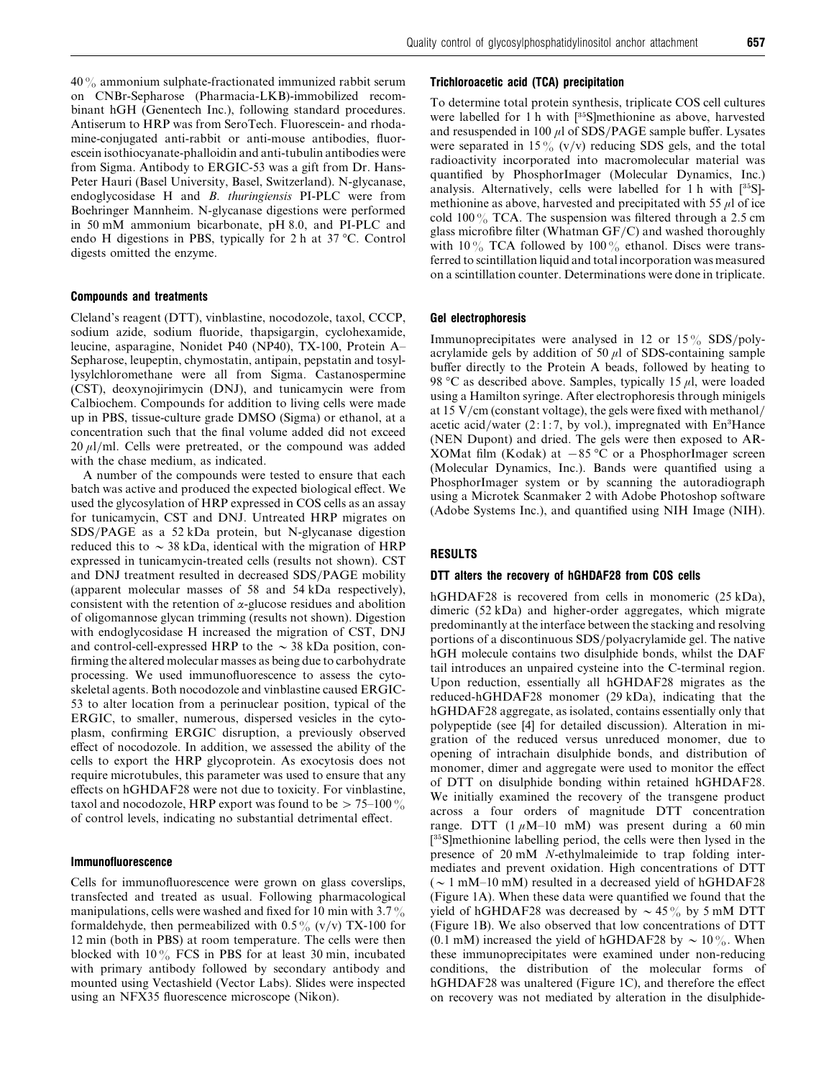$40\%$  ammonium sulphate-fractionated immunized rabbit serum on CNBr-Sepharose (Pharmacia-LKB)-immobilized recombinant hGH (Genentech Inc.), following standard procedures. Antiserum to HRP was from SeroTech. Fluorescein- and rhodamine-conjugated anti-rabbit or anti-mouse antibodies, fluorescein isothiocyanate-phalloidin and anti-tubulin antibodies were from Sigma. Antibody to ERGIC-53 was a gift from Dr. Hans-Peter Hauri (Basel University, Basel, Switzerland). N-glycanase, endoglycosidase H and *B*. *thuringiensis* PI-PLC were from Boehringer Mannheim. N-glycanase digestions were performed in 50 mM ammonium bicarbonate, pH 8.0, and PI-PLC and endo H digestions in PBS, typically for 2 h at 37 °C. Control digests omitted the enzyme.

#### *Compounds and treatments*

Cleland's reagent (DTT), vinblastine, nocodozole, taxol, CCCP, sodium azide, sodium fluoride, thapsigargin, cyclohexamide, leucine, asparagine, Nonidet P40 (NP40), TX-100, Protein A– Sepharose, leupeptin, chymostatin, antipain, pepstatin and tosyllysylchloromethane were all from Sigma. Castanospermine (CST), deoxynojirimycin (DNJ), and tunicamycin were from Calbiochem. Compounds for addition to living cells were made up in PBS, tissue-culture grade DMSO (Sigma) or ethanol, at a concentration such that the final volume added did not exceed  $20 \mu$ l/ml. Cells were pretreated, or the compound was added with the chase medium, as indicated.

A number of the compounds were tested to ensure that each batch was active and produced the expected biological effect. We used the glycosylation of HRP expressed in COS cells as an assay for tunicamycin, CST and DNJ. Untreated HRP migrates on SDS}PAGE as a 52 kDa protein, but N-glycanase digestion reduced this to  $\sim$  38 kDa, identical with the migration of HRP expressed in tunicamycin-treated cells (results not shown). CST and DNJ treatment resulted in decreased SDS/PAGE mobility (apparent molecular masses of 58 and 54 kDa respectively), consistent with the retention of  $\alpha$ -glucose residues and abolition of oligomannose glycan trimming (results not shown). Digestion with endoglycosidase H increased the migration of CST, DNJ and control-cell-expressed HRP to the  $\sim$  38 kDa position, confirming the altered molecular masses as being due to carbohydrate processing. We used immunofluorescence to assess the cytoskeletal agents. Both nocodozole and vinblastine caused ERGIC-53 to alter location from a perinuclear position, typical of the ERGIC, to smaller, numerous, dispersed vesicles in the cytoplasm, confirming ERGIC disruption, a previously observed effect of nocodozole. In addition, we assessed the ability of the cells to export the HRP glycoprotein. As exocytosis does not require microtubules, this parameter was used to ensure that any effects on hGHDAF28 were not due to toxicity. For vinblastine, taxol and nocodozole, HRP export was found to be  $> 75-100\%$ of control levels, indicating no substantial detrimental effect.

## *Immunofluorescence*

Cells for immunofluorescence were grown on glass coverslips, transfected and treated as usual. Following pharmacological manipulations, cells were washed and fixed for 10 min with  $3.7\%$ formaldehyde, then permeabilized with  $0.5\%$  (v/v) TX-100 for 12 min (both in PBS) at room temperature. The cells were then blocked with  $10\%$  FCS in PBS for at least 30 min, incubated with primary antibody followed by secondary antibody and mounted using Vectashield (Vector Labs). Slides were inspected using an NFX35 fluorescence microscope (Nikon).

# *Trichloroacetic acid (TCA) precipitation*

To determine total protein synthesis, triplicate COS cell cultures were labelled for 1 h with  $[35S]$ methionine as above, harvested and resuspended in 100  $\mu$ l of SDS/PAGE sample buffer. Lysates were separated in 15% (v/v) reducing SDS gels, and the total radioactivity incorporated into macromolecular material was quantified by PhosphorImager (Molecular Dynamics, Inc.) analysis. Alternatively, cells were labelled for 1 h with  $[^{35}S]$ methionine as above, harvested and precipitated with 55  $\mu$ l of ice cold  $100\%$  TCA. The suspension was filtered through a 2.5 cm glass microfibre filter (Whatman  $GF/C$ ) and washed thoroughly with 10% TCA followed by 100% ethanol. Discs were transferred to scintillation liquid and total incorporation was measured on a scintillation counter. Determinations were done in triplicate.

### *Gel electrophoresis*

Immunoprecipitates were analysed in 12 or  $15\%$  SDS/polyacrylamide gels by addition of 50  $\mu$ l of SDS-containing sample buffer directly to the Protein A beads, followed by heating to 98 °C as described above. Samples, typically 15  $\mu$ l, were loaded using a Hamilton syringe. After electrophoresis through minigels at 15 V/cm (constant voltage), the gels were fixed with methanol/ acetic acid/water (2:1:7, by vol.), impregnated with  $En<sup>3</sup>Hance$ (NEN Dupont) and dried. The gels were then exposed to AR-XOMat film (Kodak) at  $-85$  °C or a PhosphorImager screen (Molecular Dynamics, Inc.). Bands were quantified using a PhosphorImager system or by scanning the autoradiograph using a Microtek Scanmaker 2 with Adobe Photoshop software (Adobe Systems Inc.), and quantified using NIH Image (NIH).

# *RESULTS*

## *DTT alters the recovery of hGHDAF28 from COS cells*

hGHDAF28 is recovered from cells in monomeric (25 kDa), dimeric (52 kDa) and higher-order aggregates, which migrate predominantly at the interface between the stacking and resolving portions of a discontinuous SDS/polyacrylamide gel. The native hGH molecule contains two disulphide bonds, whilst the DAF tail introduces an unpaired cysteine into the C-terminal region. Upon reduction, essentially all hGHDAF28 migrates as the reduced-hGHDAF28 monomer (29 kDa), indicating that the hGHDAF28 aggregate, as isolated, contains essentially only that polypeptide (see [4] for detailed discussion). Alteration in migration of the reduced versus unreduced monomer, due to opening of intrachain disulphide bonds, and distribution of monomer, dimer and aggregate were used to monitor the effect of DTT on disulphide bonding within retained hGHDAF28. We initially examined the recovery of the transgene product across a four orders of magnitude DTT concentration range. DTT  $(1 \mu M-10 \text{ mM})$  was present during a 60 min [35S]methionine labelling period, the cells were then lysed in the presence of 20 mM *N*-ethylmaleimide to trap folding intermediates and prevent oxidation. High concentrations of DTT  $({\sim} 1 \text{ mM} - 10 \text{ mM})$  resulted in a decreased yield of hGHDAF28 (Figure 1A). When these data were quantified we found that the yield of hGHDAF28 was decreased by  $\sim$  45% by 5 mM DTT (Figure 1B). We also observed that low concentrations of DTT (0.1 mM) increased the yield of hGHDAF28 by  $\sim 10\%$ . When these immunoprecipitates were examined under non-reducing conditions, the distribution of the molecular forms of hGHDAF28 was unaltered (Figure 1C), and therefore the effect on recovery was not mediated by alteration in the disulphide-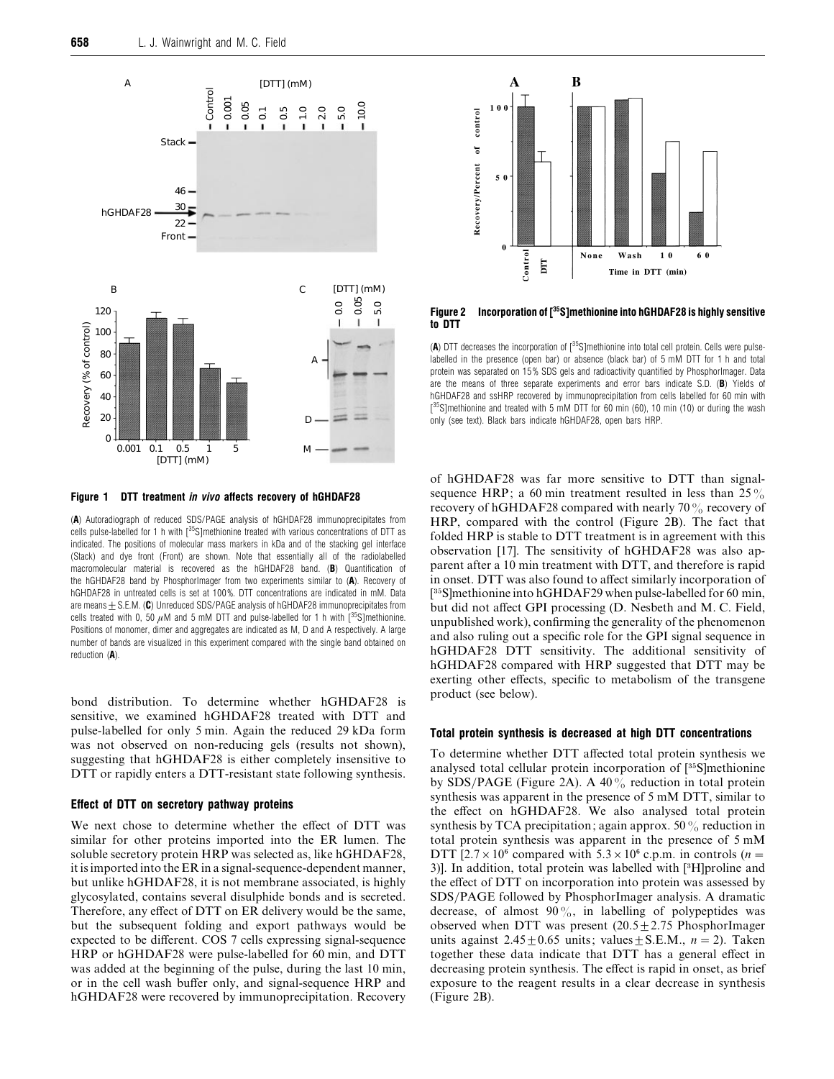

*Figure 1 DTT treatment in vivo affects recovery of hGHDAF28*

(*A*) Autoradiograph of reduced SDS/PAGE analysis of hGHDAF28 immunoprecipitates from cells pulse-labelled for 1 h with [<sup>35</sup>S]methionine treated with various concentrations of DTT as indicated. The positions of molecular mass markers in kDa and of the stacking gel interface (Stack) and dye front (Front) are shown. Note that essentially all of the radiolabelled macromolecular material is recovered as the hGHDAF28 band. (*B*) Quantification of the hGHDAF28 band by PhosphorImager from two experiments similar to (*A*). Recovery of hGHDAF28 in untreated cells is set at 100 %. DTT concentrations are indicated in mM. Data are means  $\pm$  S.E.M. (C) Unreduced SDS/PAGE analysis of hGHDAF28 immunoprecipitates from cells treated with 0, 50  $\mu$ M and 5 mM DTT and pulse-labelled for 1 h with  $\int^{35}$ S]methionine. Positions of monomer, dimer and aggregates are indicated as M, D and A respectively. A large number of bands are visualized in this experiment compared with the single band obtained on reduction (*A*).

bond distribution. To determine whether hGHDAF28 is sensitive, we examined hGHDAF28 treated with DTT and pulse-labelled for only 5 min. Again the reduced 29 kDa form was not observed on non-reducing gels (results not shown), suggesting that hGHDAF28 is either completely insensitive to DTT or rapidly enters a DTT-resistant state following synthesis.

## *Effect of DTT on secretory pathway proteins*

We next chose to determine whether the effect of DTT was similar for other proteins imported into the ER lumen. The soluble secretory protein HRP was selected as, like hGHDAF28, it is imported into the ER in a signal-sequence-dependent manner, but unlike hGHDAF28, it is not membrane associated, is highly glycosylated, contains several disulphide bonds and is secreted. Therefore, any effect of DTT on ER delivery would be the same, but the subsequent folding and export pathways would be expected to be different. COS 7 cells expressing signal-sequence HRP or hGHDAF28 were pulse-labelled for 60 min, and DTT was added at the beginning of the pulse, during the last 10 min, or in the cell wash buffer only, and signal-sequence HRP and hGHDAF28 were recovered by immunoprecipitation. Recovery



Figure 2 Incorporation of [<sup>35</sup>S]methionine into hGHDAF28 is highly sensitive *to DTT*

(A) DTT decreases the incorporation of  $1^{35}$ S]methionine into total cell protein. Cells were pulselabelled in the presence (open bar) or absence (black bar) of 5 mM DTT for 1 h and total protein was separated on 15% SDS gels and radioactivity quantified by PhosphorImager. Data are the means of three separate experiments and error bars indicate S.D. (*B*) Yields of hGHDAF28 and ssHRP recovered by immunoprecipitation from cells labelled for 60 min with  $[^{35}S]$ methionine and treated with 5 mM DTT for 60 min (60), 10 min (10) or during the wash only (see text). Black bars indicate hGHDAF28, open bars HRP.

of hGHDAF28 was far more sensitive to DTT than signalsequence HRP; a 60 min treatment resulted in less than  $25\%$ recovery of hGHDAF28 compared with nearly 70% recovery of HRP, compared with the control (Figure 2B). The fact that folded HRP is stable to DTT treatment is in agreement with this observation [17]. The sensitivity of hGHDAF28 was also apparent after a 10 min treatment with DTT, and therefore is rapid in onset. DTT was also found to affect similarly incorporation of  $[35S]$ methionine into hGHDAF29 when pulse-labelled for 60 min, but did not affect GPI processing (D. Nesbeth and M. C. Field, unpublished work), confirming the generality of the phenomenon and also ruling out a specific role for the GPI signal sequence in hGHDAF28 DTT sensitivity. The additional sensitivity of hGHDAF28 compared with HRP suggested that DTT may be exerting other effects, specific to metabolism of the transgene product (see below).

# *Total protein synthesis is decreased at high DTT concentrations*

To determine whether DTT affected total protein synthesis we analysed total cellular protein incorporation of [35S]methionine by SDS/PAGE (Figure 2A). A 40 $\%$  reduction in total protein synthesis was apparent in the presence of 5 mM DTT, similar to the effect on hGHDAF28. We also analysed total protein synthesis by TCA precipitation; again approx. 50 $\%$  reduction in total protein synthesis was apparent in the presence of 5 mM DTT [2.7  $\times$  10<sup>6</sup> compared with 5.3  $\times$  10<sup>6</sup> c.p.m. in controls (*n* = 3)]. In addition, total protein was labelled with [3H]proline and the effect of DTT on incorporation into protein was assessed by SDS/PAGE followed by PhosphorImager analysis. A dramatic decrease, of almost  $90\%$ , in labelling of polypeptides was observed when DTT was present  $(20.5 \pm 2.75 \text{ PhosphorImage})$ units against  $2.45 \pm 0.65$  units; values  $\pm$  S.E.M.,  $n = 2$ ). Taken together these data indicate that DTT has a general effect in decreasing protein synthesis. The effect is rapid in onset, as brief exposure to the reagent results in a clear decrease in synthesis (Figure 2B).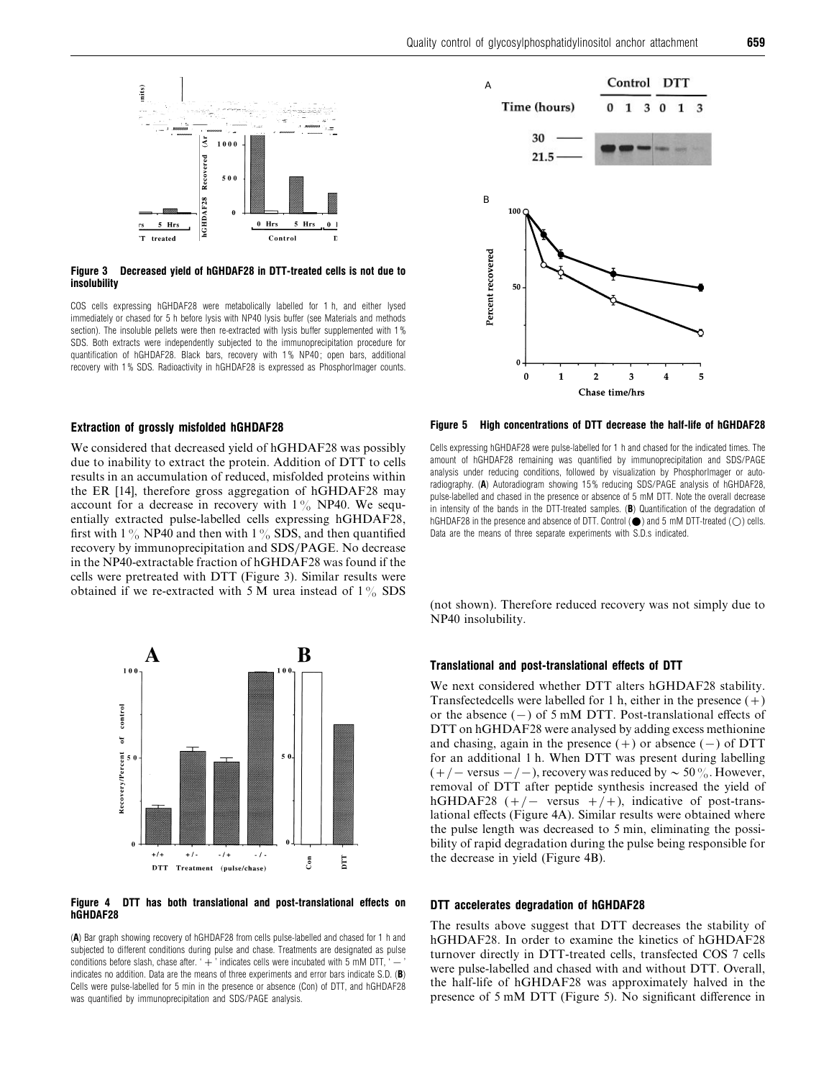

# *Figure 3 Decreased yield of hGHDAF28 in DTT-treated cells is not due to insolubility*

COS cells expressing hGHDAF28 were metabolically labelled for 1 h, and either lysed immediately or chased for 5 h before lysis with NP40 lysis buffer (see Materials and methods section). The insoluble pellets were then re-extracted with lysis buffer supplemented with 1 % SDS. Both extracts were independently subjected to the immunoprecipitation procedure for quantification of hGHDAF28. Black bars, recovery with 1 % NP40 ; open bars, additional recovery with 1 % SDS. Radioactivity in hGHDAF28 is expressed as PhosphorImager counts.

# *Extraction of grossly misfolded hGHDAF28*

We considered that decreased yield of hGHDAF28 was possibly due to inability to extract the protein. Addition of DTT to cells results in an accumulation of reduced, misfolded proteins within the ER [14], therefore gross aggregation of hGHDAF28 may account for a decrease in recovery with  $1\%$  NP40. We sequentially extracted pulse-labelled cells expressing hGHDAF28, first with 1% NP40 and then with 1% SDS, and then quantified recovery by immunoprecipitation and SDS/PAGE. No decrease in the NP40-extractable fraction of hGHDAF28 was found if the cells were pretreated with DTT (Figure 3). Similar results were obtained if we re-extracted with 5 M urea instead of  $1\%$  SDS



## *Figure 4 DTT has both translational and post-translational effects on hGHDAF28*

(*A*) Bar graph showing recovery of hGHDAF28 from cells pulse-labelled and chased for 1 h and subjected to different conditions during pulse and chase. Treatments are designated as pulse conditions before slash, chase after. ' $+$ ' indicates cells were incubated with 5 mM DTT, ' $$ indicates no addition. Data are the means of three experiments and error bars indicate S.D. (*B*) Cells were pulse-labelled for 5 min in the presence or absence (Con) of DTT, and hGHDAF28 was quantified by immunoprecipitation and SDS/PAGE analysis.



*Figure 5 High concentrations of DTT decrease the half-life of hGHDAF28*

Cells expressing hGHDAF28 were pulse-labelled for 1 h and chased for the indicated times. The amount of hGHDAF28 remaining was quantified by immunoprecipitation and SDS/PAGE analysis under reducing conditions, followed by visualization by PhosphorImager or autoradiography. (*A*) Autoradiogram showing 15 % reducing SDS/PAGE analysis of hGHDAF28, pulse-labelled and chased in the presence or absence of 5 mM DTT. Note the overall decrease in intensity of the bands in the DTT-treated samples. (*B*) Quantification of the degradation of hGHDAF28 in the presence and absence of DTT. Control  $(\bullet)$  and 5 mM DTT-treated  $(\bigcirc)$  cells. Data are the means of three separate experiments with S.D.s indicated.

(not shown). Therefore reduced recovery was not simply due to NP40 insolubility.

# *Translational and post-translational effects of DTT*

We next considered whether DTT alters hGHDAF28 stability. Transfectedcells were labelled for 1 h, either in the presence  $(+)$ or the absence  $(-)$  of 5 mM DTT. Post-translational effects of DTT on hGHDAF28 were analysed by adding excess methionine and chasing, again in the presence  $(+)$  or absence  $(-)$  of DTT for an additional 1 h. When DTT was present during labelling  $(+/-$  versus  $-/-$ ), recovery was reduced by  $\sim$  50%. However, removal of DTT after peptide synthesis increased the yield of hGHDAF28 ( $+/-$  versus  $+/+$ ), indicative of post-translational effects (Figure 4A). Similar results were obtained where the pulse length was decreased to 5 min, eliminating the possibility of rapid degradation during the pulse being responsible for the decrease in yield (Figure 4B).

# *DTT accelerates degradation of hGHDAF28*

The results above suggest that DTT decreases the stability of hGHDAF28. In order to examine the kinetics of hGHDAF28 turnover directly in DTT-treated cells, transfected COS 7 cells were pulse-labelled and chased with and without DTT. Overall, the half-life of hGHDAF28 was approximately halved in the presence of 5 mM DTT (Figure 5). No significant difference in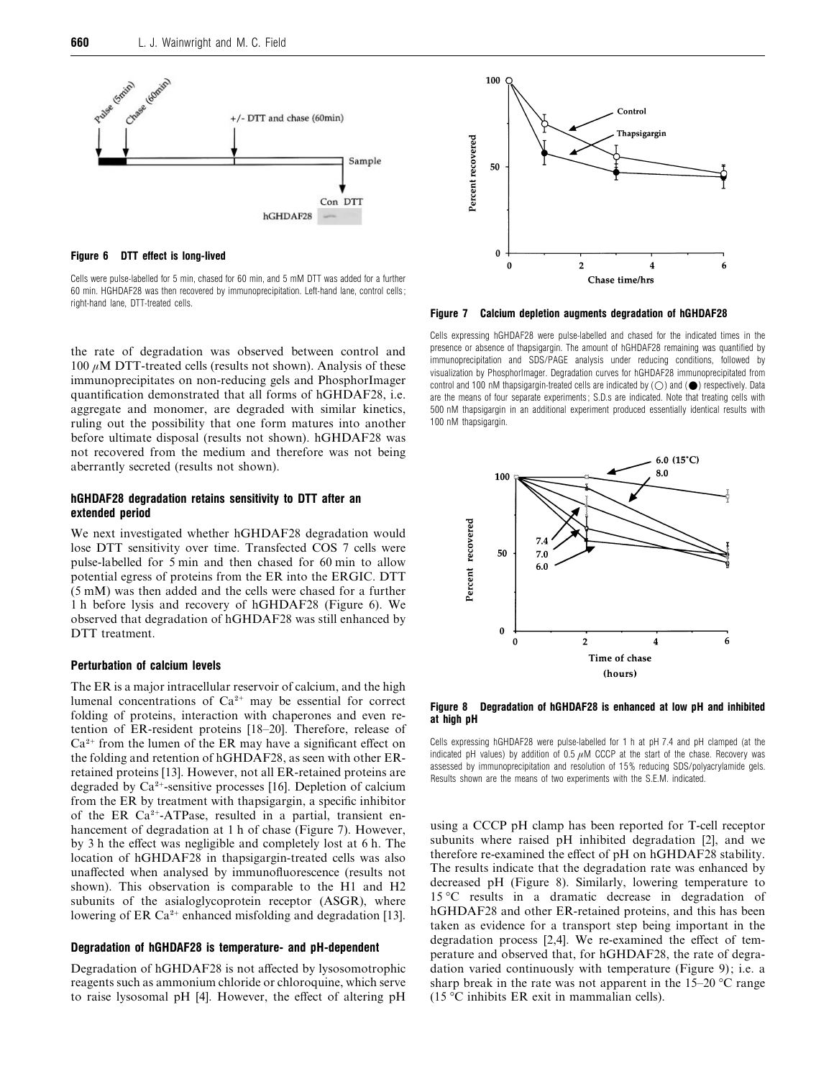

*Figure 6 DTT effect is long-lived*

Cells were pulse-labelled for 5 min, chased for 60 min, and 5 mM DTT was added for a further 60 min. HGHDAF28 was then recovered by immunoprecipitation. Left-hand lane, control cells ; right-hand lane, DTT-treated cells.

the rate of degradation was observed between control and  $100 \mu$ M DTT-treated cells (results not shown). Analysis of these immunoprecipitates on non-reducing gels and PhosphorImager quantification demonstrated that all forms of hGHDAF28, i.e. aggregate and monomer, are degraded with similar kinetics, ruling out the possibility that one form matures into another before ultimate disposal (results not shown). hGHDAF28 was not recovered from the medium and therefore was not being aberrantly secreted (results not shown).

# *hGHDAF28 degradation retains sensitivity to DTT after an extended period*

We next investigated whether hGHDAF28 degradation would lose DTT sensitivity over time. Transfected COS 7 cells were pulse-labelled for 5 min and then chased for 60 min to allow potential egress of proteins from the ER into the ERGIC. DTT (5 mM) was then added and the cells were chased for a further 1 h before lysis and recovery of hGHDAF28 (Figure 6). We observed that degradation of hGHDAF28 was still enhanced by DTT treatment.

# *Perturbation of calcium levels*

The ER is a major intracellular reservoir of calcium, and the high lumenal concentrations of  $Ca^{2+}$  may be essential for correct folding of proteins, interaction with chaperones and even retention of ER-resident proteins [18–20]. Therefore, release of  $Ca<sup>2+</sup>$  from the lumen of the ER may have a significant effect on the folding and retention of hGHDAF28, as seen with other ERretained proteins [13]. However, not all ER-retained proteins are degraded by  $Ca^{2+}$ -sensitive processes [16]. Depletion of calcium from the ER by treatment with thapsigargin, a specific inhibitor of the ER  $Ca^{2+}-ATP$ ase, resulted in a partial, transient enhancement of degradation at 1 h of chase (Figure 7). However, by 3 h the effect was negligible and completely lost at 6 h. The location of hGHDAF28 in thapsigargin-treated cells was also unaffected when analysed by immunofluorescence (results not shown). This observation is comparable to the H1 and H2 subunits of the asialoglycoprotein receptor (ASGR), where lowering of ER Ca<sup>2+</sup> enhanced misfolding and degradation [13].

#### *Degradation of hGHDAF28 is temperature- and pH-dependent*

Degradation of hGHDAF28 is not affected by lysosomotrophic reagents such as ammonium chloride or chloroquine, which serve to raise lysosomal pH [4]. However, the effect of altering pH



*Figure 7 Calcium depletion augments degradation of hGHDAF28*

Cells expressing hGHDAF28 were pulse-labelled and chased for the indicated times in the presence or absence of thapsigargin. The amount of hGHDAF28 remaining was quantified by immunoprecipitation and SDS/PAGE analysis under reducing conditions, followed by visualization by PhosphorImager. Degradation curves for hGHDAF28 immunoprecipitated from control and 100 nM thapsigargin-treated cells are indicated by  $(O)$  and  $(\bigodot)$  respectively. Data are the means of four separate experiments; S.D.s are indicated. Note that treating cells with 500 nM thapsigargin in an additional experiment produced essentially identical results with 100 nM thapsigargin.



*Figure 8 Degradation of hGHDAF28 is enhanced at low pH and inhibited at high pH*

Cells expressing hGHDAF28 were pulse-labelled for 1 h at pH 7.4 and pH clamped (at the indicated pH values) by addition of 0.5  $\mu$ M CCCP at the start of the chase. Recovery was assessed by immunoprecipitation and resolution of 15 % reducing SDS/polyacrylamide gels. Results shown are the means of two experiments with the S.E.M. indicated.

using a CCCP pH clamp has been reported for T-cell receptor subunits where raised pH inhibited degradation [2], and we therefore re-examined the effect of pH on hGHDAF28 stability. The results indicate that the degradation rate was enhanced by decreased pH (Figure 8). Similarly, lowering temperature to 15 °C results in a dramatic decrease in degradation of hGHDAF28 and other ER-retained proteins, and this has been taken as evidence for a transport step being important in the degradation process [2,4]. We re-examined the effect of temperature and observed that, for hGHDAF28, the rate of degradation varied continuously with temperature (Figure 9); i.e. a sharp break in the rate was not apparent in the  $15-20$  °C range (15 °C inhibits ER exit in mammalian cells).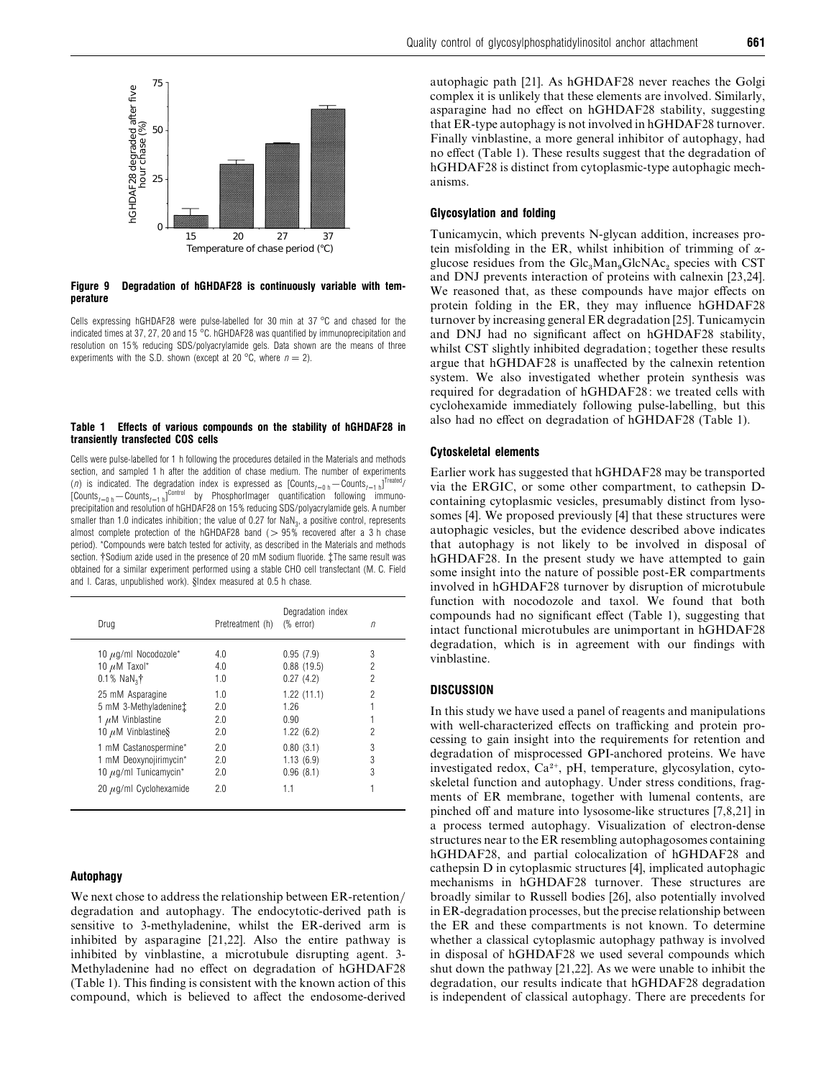

#### *Figure 9 Degradation of hGHDAF28 is continuously variable with temperature*

Cells expressing hGHDAF28 were pulse-labelled for 30 min at 37 °C and chased for the indicated times at 37, 27, 20 and 15 °C. hGHDAF28 was quantified by immunoprecipitation and resolution on 15 % reducing SDS/polyacrylamide gels. Data shown are the means of three experiments with the S.D. shown (except at 20  $^{\circ}$ C, where  $n=2$ ).

#### *Table 1 Effects of various compounds on the stability of hGHDAF28 in transiently transfected COS cells*

Cells were pulse-labelled for 1 h following the procedures detailed in the Materials and methods section, and sampled 1 h after the addition of chase medium. The number of experiments (*n*) is indicated. The degradation index is expressed as  $\left[\text{Counts}_{t=0 \text{ h}} - \text{Counts}_{t=1 \text{ h}}\right]^{\text{treated}}$  $[Counts_{t=0 \, h} - Counts_{t=1 \, h}]^{\text{Control}}$  by PhosphorImager quantification following immunoprecipitation and resolution of hGHDAF28 on 15 % reducing SDS/polyacrylamide gels. A number smaller than 1.0 indicates inhibition; the value of 0.27 for  $\text{NaN}_3$ , a positive control, represents almost complete protection of the hGHDAF28 band  $(>95\%$  recovered after a 3 h chase period). \*Compounds were batch tested for activity, as described in the Materials and methods section. †Sodium azide used in the presence of 20 mM sodium fluoride.  $\ddagger$ The same result was obtained for a similar experiment performed using a stable CHO cell transfectant (M. C. Field and I. Caras, unpublished work). §Index measured at 0.5 h chase.

| Drug                                  | Pretreatment (h) | Degradation index<br>$%$ error) | n                        |
|---------------------------------------|------------------|---------------------------------|--------------------------|
| 10 $\mu$ g/ml Nocodozole*             | 4.0              | 0.95(7.9)                       | 3                        |
| 10 $\mu$ M Taxol*                     | 4.0              | 0.88(19.5)                      | 2                        |
| $0.1\%$ NaN <sub>2</sub> <sup>†</sup> | 1.0              | 0.27(4.2)                       | 2                        |
| 25 mM Asparagine                      | 1.0              | 1.22(11.1)                      | $\overline{\phantom{a}}$ |
| 5 mM 3-Methyladenine:                 | 2.0              | 1 26                            |                          |
| 1 $\mu$ M Vinblastine                 | 2.0              | 0.90                            |                          |
| 10 $\mu$ M Vinblastine§               | 2.0              | 1.22(6.2)                       | 2                        |
| 1 mM Castanospermine*                 | 2.0              | 0.80(3.1)                       | 3                        |
| 1 mM Deoxynojirimycin*                | 2.0              | 1.13(6.9)                       | 3                        |
| 10 $\mu$ g/ml Tunicamycin*            | 2.0              | 0.96(8.1)                       | 3                        |
| 20 $\mu$ g/ml Cyclohexamide           | 2.0              | 1.1                             |                          |

# *Autophagy*

We next chose to address the relationship between ER-retention/ degradation and autophagy. The endocytotic-derived path is sensitive to 3-methyladenine, whilst the ER-derived arm is inhibited by asparagine [21,22]. Also the entire pathway is inhibited by vinblastine, a microtubule disrupting agent. 3- Methyladenine had no effect on degradation of hGHDAF28 (Table 1). This finding is consistent with the known action of this compound, which is believed to affect the endosome-derived autophagic path [21]. As hGHDAF28 never reaches the Golgi complex it is unlikely that these elements are involved. Similarly, asparagine had no effect on hGHDAF28 stability, suggesting that ER-type autophagy is not involved in hGHDAF28 turnover. Finally vinblastine, a more general inhibitor of autophagy, had no effect (Table 1). These results suggest that the degradation of hGHDAF28 is distinct from cytoplasmic-type autophagic mech-

# *Glycosylation and folding*

anisms.

Tunicamycin, which prevents N-glycan addition, increases protein misfolding in the ER, whilst inhibition of trimming of  $\alpha$ glucose residues from the  $Glc_sMan_9GlcNAc_2$  species with CST and DNJ prevents interaction of proteins with calnexin [23,24]. We reasoned that, as these compounds have major effects on protein folding in the ER, they may influence hGHDAF28 turnover by increasing general ER degradation [25]. Tunicamycin and DNJ had no significant affect on hGHDAF28 stability, whilst CST slightly inhibited degradation; together these results argue that hGHDAF28 is unaffected by the calnexin retention system. We also investigated whether protein synthesis was required for degradation of hGHDAF28: we treated cells with cyclohexamide immediately following pulse-labelling, but this also had no effect on degradation of hGHDAF28 (Table 1).

## *Cytoskeletal elements*

Earlier work has suggested that hGHDAF28 may be transported via the ERGIC, or some other compartment, to cathepsin Dcontaining cytoplasmic vesicles, presumably distinct from lysosomes [4]. We proposed previously [4] that these structures were autophagic vesicles, but the evidence described above indicates that autophagy is not likely to be involved in disposal of hGHDAF28. In the present study we have attempted to gain some insight into the nature of possible post-ER compartments involved in hGHDAF28 turnover by disruption of microtubule function with nocodozole and taxol. We found that both compounds had no significant effect (Table 1), suggesting that intact functional microtubules are unimportant in hGHDAF28 degradation, which is in agreement with our findings with vinblastine.

## *DISCUSSION*

In this study we have used a panel of reagents and manipulations with well-characterized effects on trafficking and protein processing to gain insight into the requirements for retention and degradation of misprocessed GPI-anchored proteins. We have investigated redox,  $Ca^{2+}$ , pH, temperature, glycosylation, cytoskeletal function and autophagy. Under stress conditions, fragments of ER membrane, together with lumenal contents, are pinched off and mature into lysosome-like structures [7,8,21] in a process termed autophagy. Visualization of electron-dense structures near to the ER resembling autophagosomes containing hGHDAF28, and partial colocalization of hGHDAF28 and cathepsin D in cytoplasmic structures [4], implicated autophagic mechanisms in hGHDAF28 turnover. These structures are broadly similar to Russell bodies [26], also potentially involved in ER-degradation processes, but the precise relationship between the ER and these compartments is not known. To determine whether a classical cytoplasmic autophagy pathway is involved in disposal of hGHDAF28 we used several compounds which shut down the pathway [21,22]. As we were unable to inhibit the degradation, our results indicate that hGHDAF28 degradation is independent of classical autophagy. There are precedents for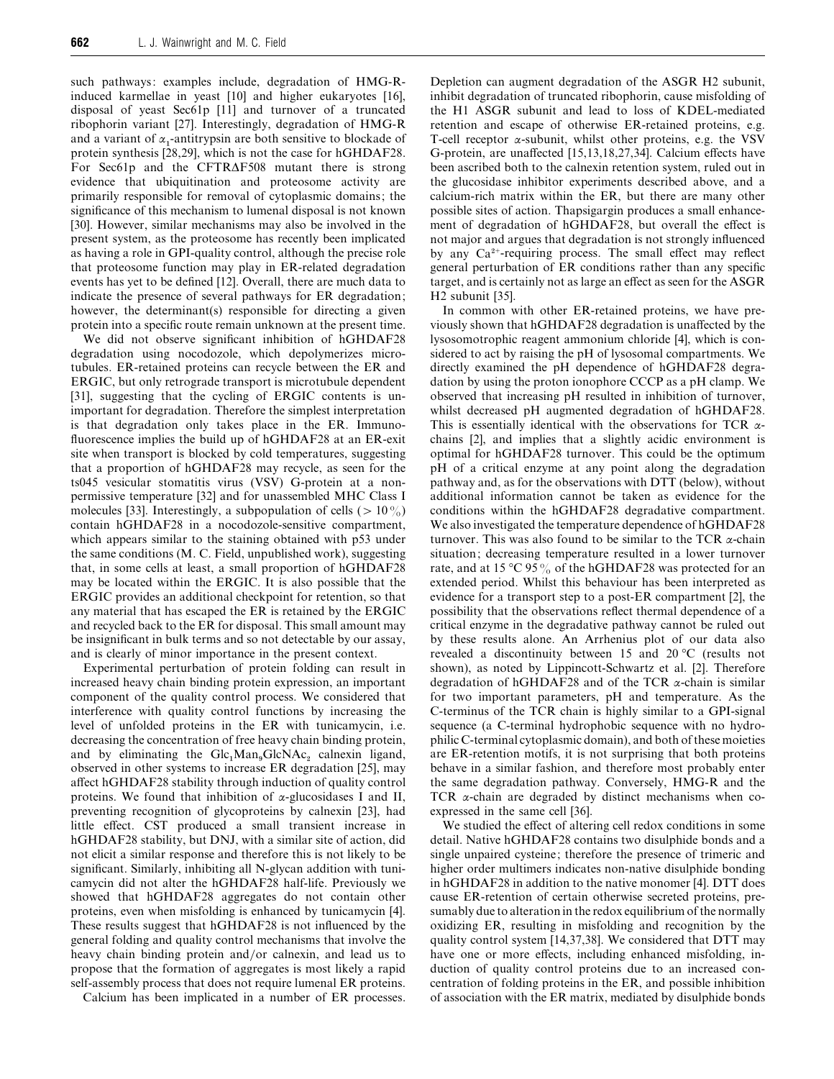such pathways: examples include, degradation of HMG-Rinduced karmellae in yeast [10] and higher eukaryotes [16], disposal of yeast Sec61p [11] and turnover of a truncated ribophorin variant [27]. Interestingly, degradation of HMG-R and a variant of  $\alpha_1$ -antitrypsin are both sensitive to blockade of protein synthesis [28,29], which is not the case for hGHDAF28. For Sec61p and the CFTR∆F508 mutant there is strong evidence that ubiquitination and proteosome activity are primarily responsible for removal of cytoplasmic domains; the significance of this mechanism to lumenal disposal is not known [30]. However, similar mechanisms may also be involved in the present system, as the proteosome has recently been implicated as having a role in GPI-quality control, although the precise role that proteosome function may play in ER-related degradation events has yet to be defined [12]. Overall, there are much data to indicate the presence of several pathways for ER degradation; however, the determinant(s) responsible for directing a given protein into a specific route remain unknown at the present time.

We did not observe significant inhibition of hGHDAF28 degradation using nocodozole, which depolymerizes microtubules. ER-retained proteins can recycle between the ER and ERGIC, but only retrograde transport is microtubule dependent [31], suggesting that the cycling of ERGIC contents is unimportant for degradation. Therefore the simplest interpretation is that degradation only takes place in the ER. Immunofluorescence implies the build up of hGHDAF28 at an ER-exit site when transport is blocked by cold temperatures, suggesting that a proportion of hGHDAF28 may recycle, as seen for the ts045 vesicular stomatitis virus (VSV) G-protein at a nonpermissive temperature [32] and for unassembled MHC Class I molecules [33]. Interestingly, a subpopulation of cells ( $> 10\%$ ) contain hGHDAF28 in a nocodozole-sensitive compartment, which appears similar to the staining obtained with p53 under the same conditions (M. C. Field, unpublished work), suggesting that, in some cells at least, a small proportion of hGHDAF28 may be located within the ERGIC. It is also possible that the ERGIC provides an additional checkpoint for retention, so that any material that has escaped the ER is retained by the ERGIC and recycled back to the ER for disposal. This small amount may be insignificant in bulk terms and so not detectable by our assay, and is clearly of minor importance in the present context.

Experimental perturbation of protein folding can result in increased heavy chain binding protein expression, an important component of the quality control process. We considered that interference with quality control functions by increasing the level of unfolded proteins in the ER with tunicamycin, i.e. decreasing the concentration of free heavy chain binding protein, and by eliminating the  $Glc<sub>1</sub>Man<sub>9</sub>GlcNAc<sub>2</sub>$  calnexin ligand, observed in other systems to increase ER degradation [25], may affect hGHDAF28 stability through induction of quality control proteins. We found that inhibition of  $\alpha$ -glucosidases I and II, preventing recognition of glycoproteins by calnexin [23], had little effect. CST produced a small transient increase in hGHDAF28 stability, but DNJ, with a similar site of action, did not elicit a similar response and therefore this is not likely to be significant. Similarly, inhibiting all N-glycan addition with tunicamycin did not alter the hGHDAF28 half-life. Previously we showed that hGHDAF28 aggregates do not contain other proteins, even when misfolding is enhanced by tunicamycin [4]. These results suggest that hGHDAF28 is not influenced by the general folding and quality control mechanisms that involve the heavy chain binding protein and/or calnexin, and lead us to propose that the formation of aggregates is most likely a rapid self-assembly process that does not require lumenal ER proteins.

Calcium has been implicated in a number of ER processes.

Depletion can augment degradation of the ASGR H2 subunit, inhibit degradation of truncated ribophorin, cause misfolding of the H1 ASGR subunit and lead to loss of KDEL-mediated retention and escape of otherwise ER-retained proteins, e.g. T-cell receptor  $\alpha$ -subunit, whilst other proteins, e.g. the VSV G-protein, are unaffected [15,13,18,27,34]. Calcium effects have been ascribed both to the calnexin retention system, ruled out in the glucosidase inhibitor experiments described above, and a calcium-rich matrix within the ER, but there are many other possible sites of action. Thapsigargin produces a small enhancement of degradation of hGHDAF28, but overall the effect is not major and argues that degradation is not strongly influenced by any Ca<sup>2+</sup>-requiring process. The small effect may reflect general perturbation of ER conditions rather than any specific target, and is certainly not as large an effect as seen for the ASGR H2 subunit [35].

In common with other ER-retained proteins, we have previously shown that hGHDAF28 degradation is unaffected by the lysosomotrophic reagent ammonium chloride [4], which is considered to act by raising the pH of lysosomal compartments. We directly examined the pH dependence of hGHDAF28 degradation by using the proton ionophore CCCP as a pH clamp. We observed that increasing pH resulted in inhibition of turnover, whilst decreased pH augmented degradation of hGHDAF28. This is essentially identical with the observations for TCR  $\alpha$ chains [2], and implies that a slightly acidic environment is optimal for hGHDAF28 turnover. This could be the optimum pH of a critical enzyme at any point along the degradation pathway and, as for the observations with DTT (below), without additional information cannot be taken as evidence for the conditions within the hGHDAF28 degradative compartment. We also investigated the temperature dependence of hGHDAF28 turnover. This was also found to be similar to the TCR  $\alpha$ -chain situation; decreasing temperature resulted in a lower turnover rate, and at 15 °C 95% of the hGHDAF28 was protected for an extended period. Whilst this behaviour has been interpreted as evidence for a transport step to a post-ER compartment [2], the possibility that the observations reflect thermal dependence of a critical enzyme in the degradative pathway cannot be ruled out by these results alone. An Arrhenius plot of our data also revealed a discontinuity between 15 and 20 °C (results not shown), as noted by Lippincott-Schwartz et al. [2]. Therefore degradation of hGHDAF28 and of the TCR α-chain is similar for two important parameters, pH and temperature. As the C-terminus of the TCR chain is highly similar to a GPI-signal sequence (a C-terminal hydrophobic sequence with no hydrophilic C-terminal cytoplasmic domain), and both of these moieties are ER-retention motifs, it is not surprising that both proteins behave in a similar fashion, and therefore most probably enter the same degradation pathway. Conversely, HMG-R and the TCR α-chain are degraded by distinct mechanisms when coexpressed in the same cell [36].

We studied the effect of altering cell redox conditions in some detail. Native hGHDAF28 contains two disulphide bonds and a single unpaired cysteine; therefore the presence of trimeric and higher order multimers indicates non-native disulphide bonding in hGHDAF28 in addition to the native monomer [4]. DTT does cause ER-retention of certain otherwise secreted proteins, presumably due to alteration in the redox equilibrium of the normally oxidizing ER, resulting in misfolding and recognition by the quality control system [14,37,38]. We considered that DTT may have one or more effects, including enhanced misfolding, induction of quality control proteins due to an increased concentration of folding proteins in the ER, and possible inhibition of association with the ER matrix, mediated by disulphide bonds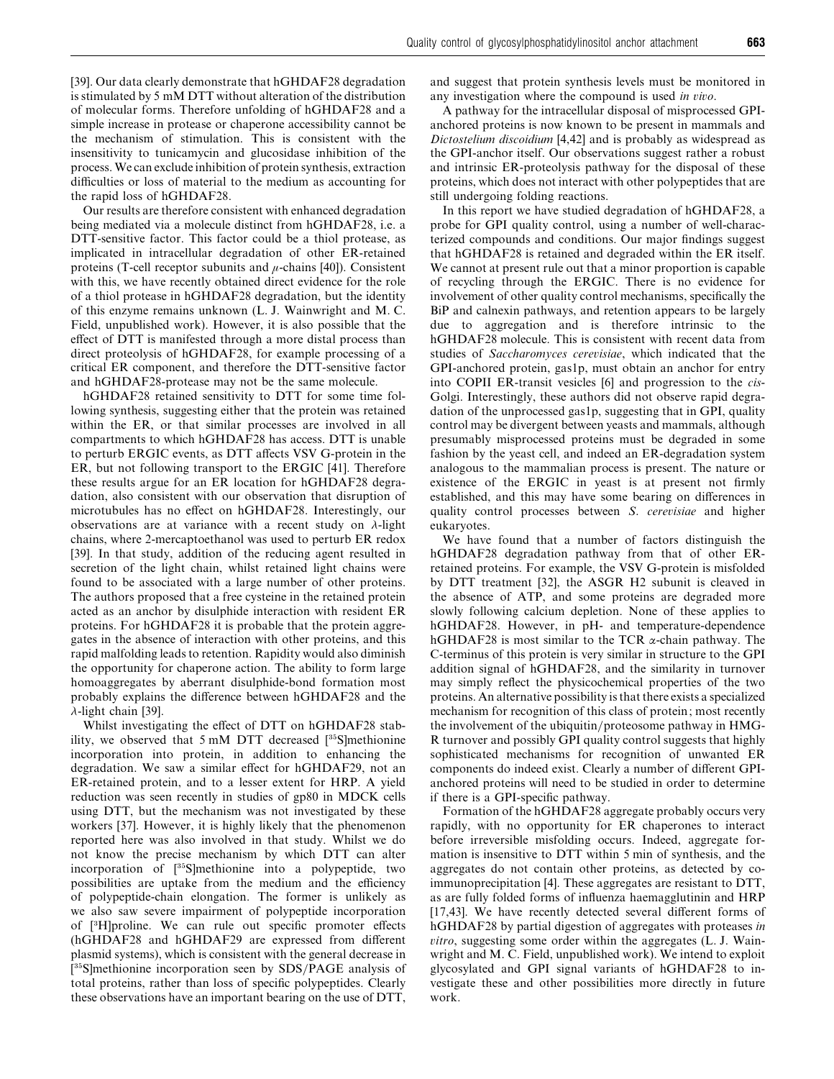[39]. Our data clearly demonstrate that hGHDAF28 degradation is stimulated by 5 mM DTT without alteration of the distribution of molecular forms. Therefore unfolding of hGHDAF28 and a simple increase in protease or chaperone accessibility cannot be the mechanism of stimulation. This is consistent with the insensitivity to tunicamycin and glucosidase inhibition of the process.We can exclude inhibition of protein synthesis, extraction difficulties or loss of material to the medium as accounting for the rapid loss of hGHDAF28.

Our results are therefore consistent with enhanced degradation being mediated via a molecule distinct from hGHDAF28, i.e. a DTT-sensitive factor. This factor could be a thiol protease, as implicated in intracellular degradation of other ER-retained proteins (T-cell receptor subunits and  $\mu$ -chains [40]). Consistent with this, we have recently obtained direct evidence for the role of a thiol protease in hGHDAF28 degradation, but the identity of this enzyme remains unknown (L. J. Wainwright and M. C. Field, unpublished work). However, it is also possible that the effect of DTT is manifested through a more distal process than direct proteolysis of hGHDAF28, for example processing of a critical ER component, and therefore the DTT-sensitive factor and hGHDAF28-protease may not be the same molecule.

hGHDAF28 retained sensitivity to DTT for some time following synthesis, suggesting either that the protein was retained within the ER, or that similar processes are involved in all compartments to which hGHDAF28 has access. DTT is unable to perturb ERGIC events, as DTT affects VSV G-protein in the ER, but not following transport to the ERGIC [41]. Therefore these results argue for an ER location for hGHDAF28 degradation, also consistent with our observation that disruption of microtubules has no effect on hGHDAF28. Interestingly, our observations are at variance with a recent study on  $\lambda$ -light chains, where 2-mercaptoethanol was used to perturb ER redox [39]. In that study, addition of the reducing agent resulted in secretion of the light chain, whilst retained light chains were found to be associated with a large number of other proteins. The authors proposed that a free cysteine in the retained protein acted as an anchor by disulphide interaction with resident ER proteins. For hGHDAF28 it is probable that the protein aggregates in the absence of interaction with other proteins, and this rapid malfolding leads to retention. Rapidity would also diminish the opportunity for chaperone action. The ability to form large homoaggregates by aberrant disulphide-bond formation most probably explains the difference between hGHDAF28 and the λ-light chain [39].

Whilst investigating the effect of DTT on hGHDAF28 stability, we observed that  $5 \text{ mM}$  DTT decreased  $[35S]$ methionine incorporation into protein, in addition to enhancing the degradation. We saw a similar effect for hGHDAF29, not an ER-retained protein, and to a lesser extent for HRP. A yield reduction was seen recently in studies of gp80 in MDCK cells using DTT, but the mechanism was not investigated by these workers [37]. However, it is highly likely that the phenomenon reported here was also involved in that study. Whilst we do not know the precise mechanism by which DTT can alter incorporation of  $[35S]$ methionine into a polypeptide, two possibilities are uptake from the medium and the efficiency of polypeptide-chain elongation. The former is unlikely as we also saw severe impairment of polypeptide incorporation of [\$H]proline. We can rule out specific promoter effects (hGHDAF28 and hGHDAF29 are expressed from different plasmid systems), which is consistent with the general decrease in [<sup>35</sup>S]methionine incorporation seen by SDS/PAGE analysis of total proteins, rather than loss of specific polypeptides. Clearly these observations have an important bearing on the use of DTT,

and suggest that protein synthesis levels must be monitored in any investigation where the compound is used *in io*.

A pathway for the intracellular disposal of misprocessed GPIanchored proteins is now known to be present in mammals and *Dictostelium discoidium* [4,42] and is probably as widespread as the GPI-anchor itself. Our observations suggest rather a robust and intrinsic ER-proteolysis pathway for the disposal of these proteins, which does not interact with other polypeptides that are still undergoing folding reactions.

In this report we have studied degradation of hGHDAF28, a probe for GPI quality control, using a number of well-characterized compounds and conditions. Our major findings suggest that hGHDAF28 is retained and degraded within the ER itself. We cannot at present rule out that a minor proportion is capable of recycling through the ERGIC. There is no evidence for involvement of other quality control mechanisms, specifically the BiP and calnexin pathways, and retention appears to be largely due to aggregation and is therefore intrinsic to the hGHDAF28 molecule. This is consistent with recent data from studies of *Saccharomyces cereisiae*, which indicated that the GPI-anchored protein, gas1p, must obtain an anchor for entry into COPII ER-transit vesicles [6] and progression to the *cis*-Golgi. Interestingly, these authors did not observe rapid degradation of the unprocessed gas1p, suggesting that in GPI, quality control may be divergent between yeasts and mammals, although presumably misprocessed proteins must be degraded in some fashion by the yeast cell, and indeed an ER-degradation system analogous to the mammalian process is present. The nature or existence of the ERGIC in yeast is at present not firmly established, and this may have some bearing on differences in quality control processes between *S*. *cereisiae* and higher eukaryotes.

We have found that a number of factors distinguish the hGHDAF28 degradation pathway from that of other ERretained proteins. For example, the VSV G-protein is misfolded by DTT treatment [32], the ASGR H2 subunit is cleaved in the absence of ATP, and some proteins are degraded more slowly following calcium depletion. None of these applies to hGHDAF28. However, in pH- and temperature-dependence hGHDAF28 is most similar to the TCR  $\alpha$ -chain pathway. The C-terminus of this protein is very similar in structure to the GPI addition signal of hGHDAF28, and the similarity in turnover may simply reflect the physicochemical properties of the two proteins. An alternative possibility is that there exists a specialized mechanism for recognition of this class of protein; most recently the involvement of the ubiquitin/proteosome pathway in HMG-R turnover and possibly GPI quality control suggests that highly sophisticated mechanisms for recognition of unwanted ER components do indeed exist. Clearly a number of different GPIanchored proteins will need to be studied in order to determine if there is a GPI-specific pathway.

Formation of the hGHDAF28 aggregate probably occurs very rapidly, with no opportunity for ER chaperones to interact before irreversible misfolding occurs. Indeed, aggregate formation is insensitive to DTT within 5 min of synthesis, and the aggregates do not contain other proteins, as detected by coimmunoprecipitation [4]. These aggregates are resistant to DTT, as are fully folded forms of influenza haemagglutinin and HRP [17,43]. We have recently detected several different forms of hGHDAF28 by partial digestion of aggregates with proteases *in itro*, suggesting some order within the aggregates (L. J. Wainwright and M. C. Field, unpublished work). We intend to exploit glycosylated and GPI signal variants of hGHDAF28 to investigate these and other possibilities more directly in future work.